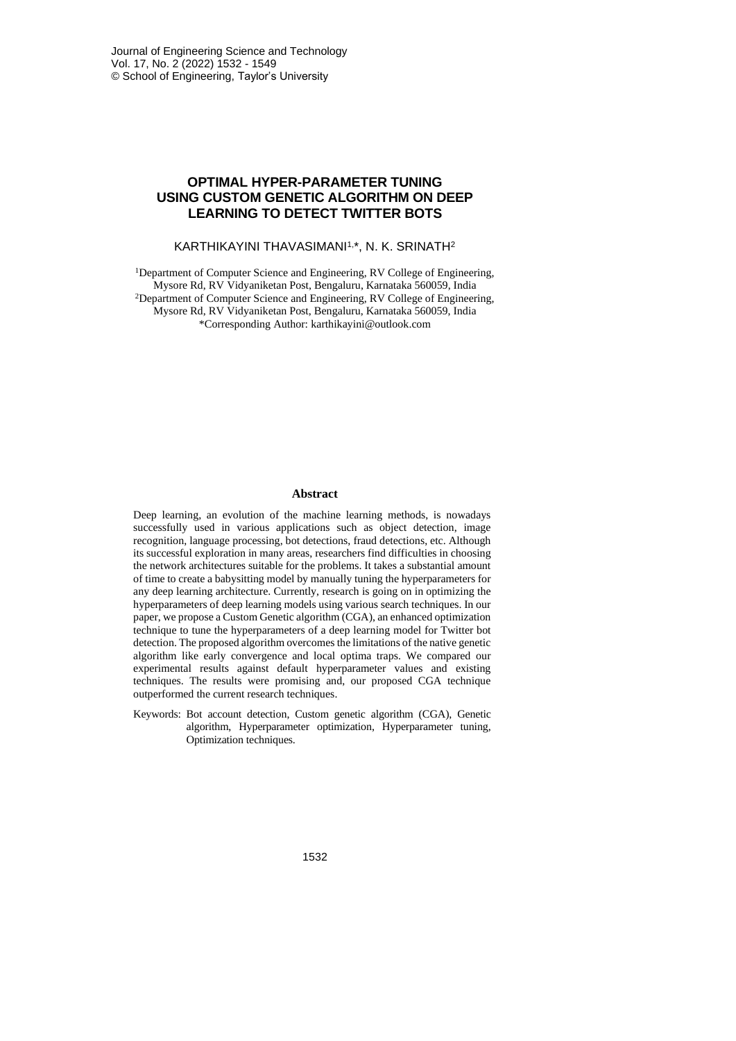## **OPTIMAL HYPER-PARAMETER TUNING USING CUSTOM GENETIC ALGORITHM ON DEEP LEARNING TO DETECT TWITTER BOTS**

#### KARTHIKAYINI THAVASIMANI1,\*, N. K. SRINATH<sup>2</sup>

<sup>1</sup>Department of Computer Science and Engineering, RV College of Engineering, Mysore Rd, RV Vidyaniketan Post, Bengaluru, Karnataka 560059, India <sup>2</sup>Department of Computer Science and Engineering, RV College of Engineering, Mysore Rd, RV Vidyaniketan Post, Bengaluru, Karnataka 560059, India \*Corresponding Author: karthikayini@outlook.com

## **Abstract**

Deep learning, an evolution of the machine learning methods, is nowadays successfully used in various applications such as object detection, image recognition, language processing, bot detections, fraud detections, etc. Although its successful exploration in many areas, researchers find difficulties in choosing the network architectures suitable for the problems. It takes a substantial amount of time to create a babysitting model by manually tuning the hyperparameters for any deep learning architecture. Currently, research is going on in optimizing the hyperparameters of deep learning models using various search techniques. In our paper, we propose a Custom Genetic algorithm (CGA), an enhanced optimization technique to tune the hyperparameters of a deep learning model for Twitter bot detection. The proposed algorithm overcomes the limitations of the native genetic algorithm like early convergence and local optima traps. We compared our experimental results against default hyperparameter values and existing techniques. The results were promising and, our proposed CGA technique outperformed the current research techniques.

Keywords: Bot account detection, Custom genetic algorithm (CGA), Genetic algorithm, Hyperparameter optimization, Hyperparameter tuning, Optimization techniques.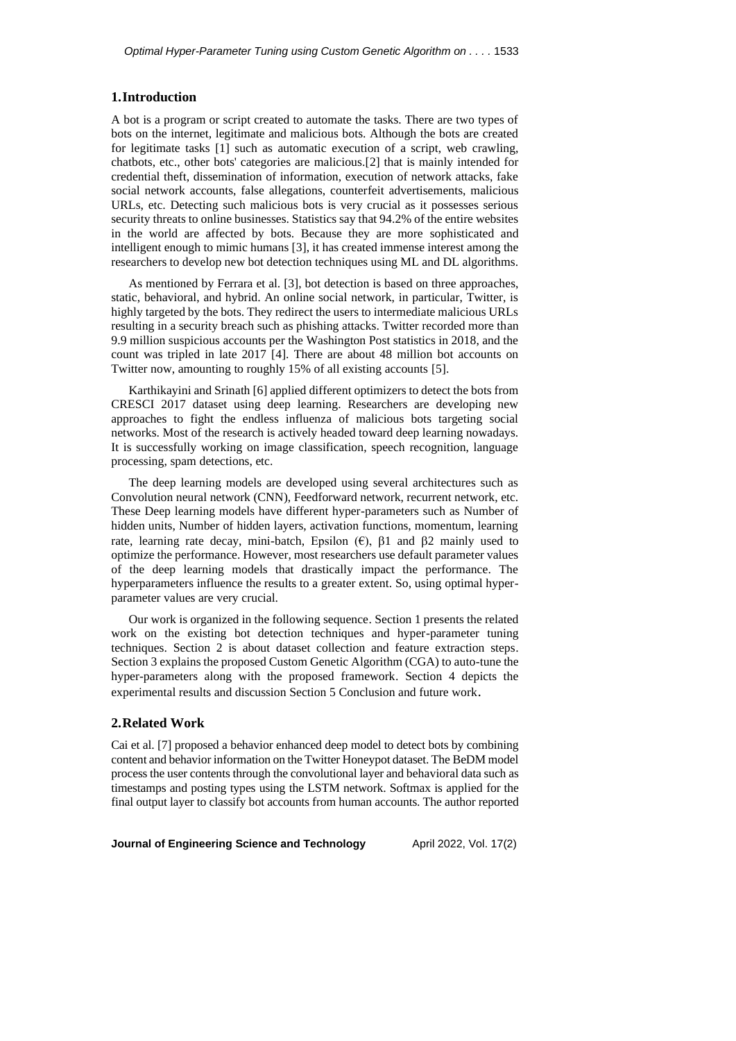## **1.Introduction**

A bot is a program or script created to automate the tasks. There are two types of bots on the internet, legitimate and malicious bots. Although the bots are created for legitimate tasks [1] such as automatic execution of a script, web crawling, chatbots, etc., other bots' categories are malicious.[2] that is mainly intended for credential theft, dissemination of information, execution of network attacks, fake social network accounts, false allegations, counterfeit advertisements, malicious URLs, etc. Detecting such malicious bots is very crucial as it possesses serious security threats to online businesses. Statistics say that 94.2% of the entire websites in the world are affected by bots. Because they are more sophisticated and intelligent enough to mimic humans [3], it has created immense interest among the researchers to develop new bot detection techniques using ML and DL algorithms.

As mentioned by Ferrara et al. [3], bot detection is based on three approaches, static, behavioral, and hybrid. An online social network, in particular, Twitter, is highly targeted by the bots. They redirect the users to intermediate malicious URLs resulting in a security breach such as phishing attacks. Twitter recorded more than 9.9 million suspicious accounts per the Washington Post statistics in 2018, and the count was tripled in late 2017 [4]. There are about 48 million bot accounts on Twitter now, amounting to roughly 15% of all existing accounts [5].

Karthikayini and Srinath [6] applied different optimizers to detect the bots from CRESCI 2017 dataset using deep learning. Researchers are developing new approaches to fight the endless influenza of malicious bots targeting social networks. Most of the research is actively headed toward deep learning nowadays. It is successfully working on image classification, speech recognition, language processing, spam detections, etc.

The deep learning models are developed using several architectures such as Convolution neural network (CNN), Feedforward network, recurrent network, etc. These Deep learning models have different hyper-parameters such as Number of hidden units, Number of hidden layers, activation functions, momentum, learning rate, learning rate decay, mini-batch, Epsilon  $(\epsilon)$ ,  $\beta$ 1 and  $\beta$ 2 mainly used to optimize the performance. However, most researchers use default parameter values of the deep learning models that drastically impact the performance. The hyperparameters influence the results to a greater extent. So, using optimal hyperparameter values are very crucial.

Our work is organized in the following sequence. Section 1 presents the related work on the existing bot detection techniques and hyper-parameter tuning techniques. Section 2 is about dataset collection and feature extraction steps. Section 3 explains the proposed Custom Genetic Algorithm (CGA) to auto-tune the hyper-parameters along with the proposed framework. Section 4 depicts the experimental results and discussion Section 5 Conclusion and future work.

## **2.Related Work**

Cai et al. [7] proposed a behavior enhanced deep model to detect bots by combining content and behavior information on the Twitter Honeypot dataset. The BeDM model process the user contents through the convolutional layer and behavioral data such as timestamps and posting types using the LSTM network. Softmax is applied for the final output layer to classify bot accounts from human accounts. The author reported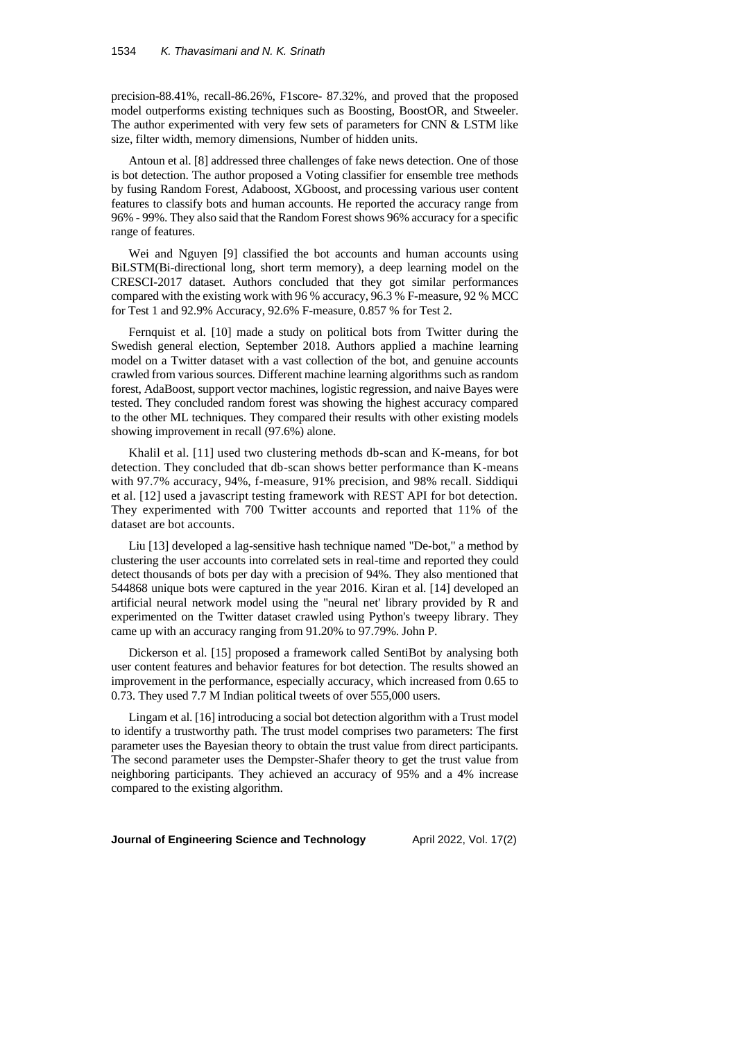precision-88.41%, recall-86.26%, F1score- 87.32%, and proved that the proposed model outperforms existing techniques such as Boosting, BoostOR, and Stweeler. The author experimented with very few sets of parameters for CNN & LSTM like size, filter width, memory dimensions, Number of hidden units.

Antoun et al. [8] addressed three challenges of fake news detection. One of those is bot detection. The author proposed a Voting classifier for ensemble tree methods by fusing Random Forest, Adaboost, XGboost, and processing various user content features to classify bots and human accounts. He reported the accuracy range from 96% - 99%. They also said that the Random Forest shows 96% accuracy for a specific range of features.

Wei and Nguyen [9] classified the bot accounts and human accounts using BiLSTM(Bi-directional long, short term memory), a deep learning model on the CRESCI-2017 dataset. Authors concluded that they got similar performances compared with the existing work with 96 % accuracy, 96.3 % F-measure, 92 % MCC for Test 1 and 92.9% Accuracy, 92.6% F-measure, 0.857 % for Test 2.

Fernquist et al. [10] made a study on political bots from Twitter during the Swedish general election, September 2018. Authors applied a machine learning model on a Twitter dataset with a vast collection of the bot, and genuine accounts crawled from various sources. Different machine learning algorithms such as random forest, AdaBoost, support vector machines, logistic regression, and naive Bayes were tested. They concluded random forest was showing the highest accuracy compared to the other ML techniques. They compared their results with other existing models showing improvement in recall (97.6%) alone.

Khalil et al. [11] used two clustering methods db-scan and K-means, for bot detection. They concluded that db-scan shows better performance than K-means with 97.7% accuracy, 94%, f-measure, 91% precision, and 98% recall. Siddiqui et al. [12] used a javascript testing framework with REST API for bot detection. They experimented with 700 Twitter accounts and reported that 11% of the dataset are bot accounts.

Liu [13] developed a lag-sensitive hash technique named "De-bot," a method by clustering the user accounts into correlated sets in real-time and reported they could detect thousands of bots per day with a precision of 94%. They also mentioned that 544868 unique bots were captured in the year 2016. Kiran et al. [14] developed an artificial neural network model using the "neural net' library provided by R and experimented on the Twitter dataset crawled using Python's tweepy library. They came up with an accuracy ranging from 91.20% to 97.79%. John P.

Dickerson et al. [15] proposed a framework called SentiBot by analysing both user content features and behavior features for bot detection. The results showed an improvement in the performance, especially accuracy, which increased from 0.65 to 0.73. They used 7.7 M Indian political tweets of over 555,000 users.

Lingam et al. [16] introducing a social bot detection algorithm with a Trust model to identify a trustworthy path. The trust model comprises two parameters: The first parameter uses the Bayesian theory to obtain the trust value from direct participants. The second parameter uses the Dempster-Shafer theory to get the trust value from neighboring participants. They achieved an accuracy of 95% and a 4% increase compared to the existing algorithm.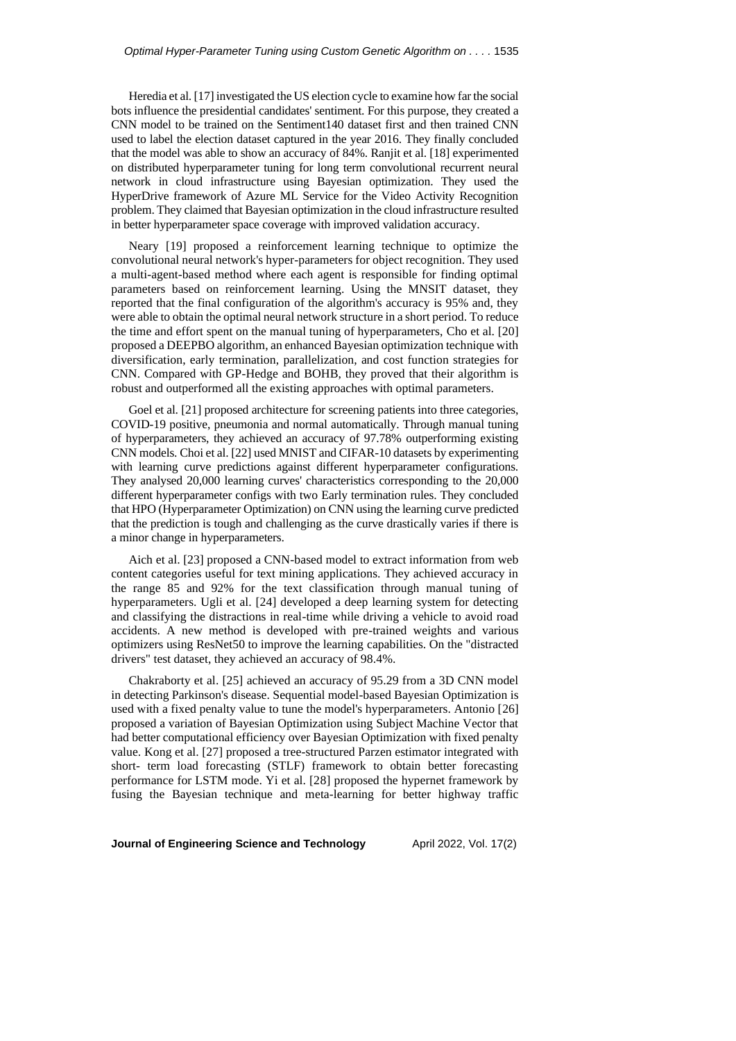Heredia et al. [17] investigated the US election cycle to examine how far the social bots influence the presidential candidates' sentiment. For this purpose, they created a CNN model to be trained on the Sentiment140 dataset first and then trained CNN used to label the election dataset captured in the year 2016. They finally concluded that the model was able to show an accuracy of 84%. Ranjit et al. [18] experimented on distributed hyperparameter tuning for long term convolutional recurrent neural network in cloud infrastructure using Bayesian optimization. They used the HyperDrive framework of Azure ML Service for the Video Activity Recognition problem. They claimed that Bayesian optimization in the cloud infrastructure resulted in better hyperparameter space coverage with improved validation accuracy.

Neary [19] proposed a reinforcement learning technique to optimize the convolutional neural network's hyper-parameters for object recognition. They used a multi-agent-based method where each agent is responsible for finding optimal parameters based on reinforcement learning. Using the MNSIT dataset, they reported that the final configuration of the algorithm's accuracy is 95% and, they were able to obtain the optimal neural network structure in a short period. To reduce the time and effort spent on the manual tuning of hyperparameters, Cho et al. [20] proposed a DEEPBO algorithm, an enhanced Bayesian optimization technique with diversification, early termination, parallelization, and cost function strategies for CNN. Compared with GP-Hedge and BOHB, they proved that their algorithm is robust and outperformed all the existing approaches with optimal parameters.

Goel et al. [21] proposed architecture for screening patients into three categories, COVID-19 positive, pneumonia and normal automatically. Through manual tuning of hyperparameters, they achieved an accuracy of 97.78% outperforming existing CNN models. Choi et al. [22] used MNIST and CIFAR-10 datasets by experimenting with learning curve predictions against different hyperparameter configurations. They analysed 20,000 learning curves' characteristics corresponding to the 20,000 different hyperparameter configs with two Early termination rules. They concluded that HPO (Hyperparameter Optimization) on CNN using the learning curve predicted that the prediction is tough and challenging as the curve drastically varies if there is a minor change in hyperparameters.

Aich et al. [23] proposed a CNN-based model to extract information from web content categories useful for text mining applications. They achieved accuracy in the range 85 and 92% for the text classification through manual tuning of hyperparameters. Ugli et al. [24] developed a deep learning system for detecting and classifying the distractions in real-time while driving a vehicle to avoid road accidents. A new method is developed with pre-trained weights and various optimizers using ResNet50 to improve the learning capabilities. On the "distracted drivers" test dataset, they achieved an accuracy of 98.4%.

Chakraborty et al. [25] achieved an accuracy of 95.29 from a 3D CNN model in detecting Parkinson's disease. Sequential model-based Bayesian Optimization is used with a fixed penalty value to tune the model's hyperparameters. Antonio [26] proposed a variation of Bayesian Optimization using Subject Machine Vector that had better computational efficiency over Bayesian Optimization with fixed penalty value. Kong et al. [27] proposed a tree-structured Parzen estimator integrated with short- term load forecasting (STLF) framework to obtain better forecasting performance for LSTM mode. Yi et al. [28] proposed the hypernet framework by fusing the Bayesian technique and meta-learning for better highway traffic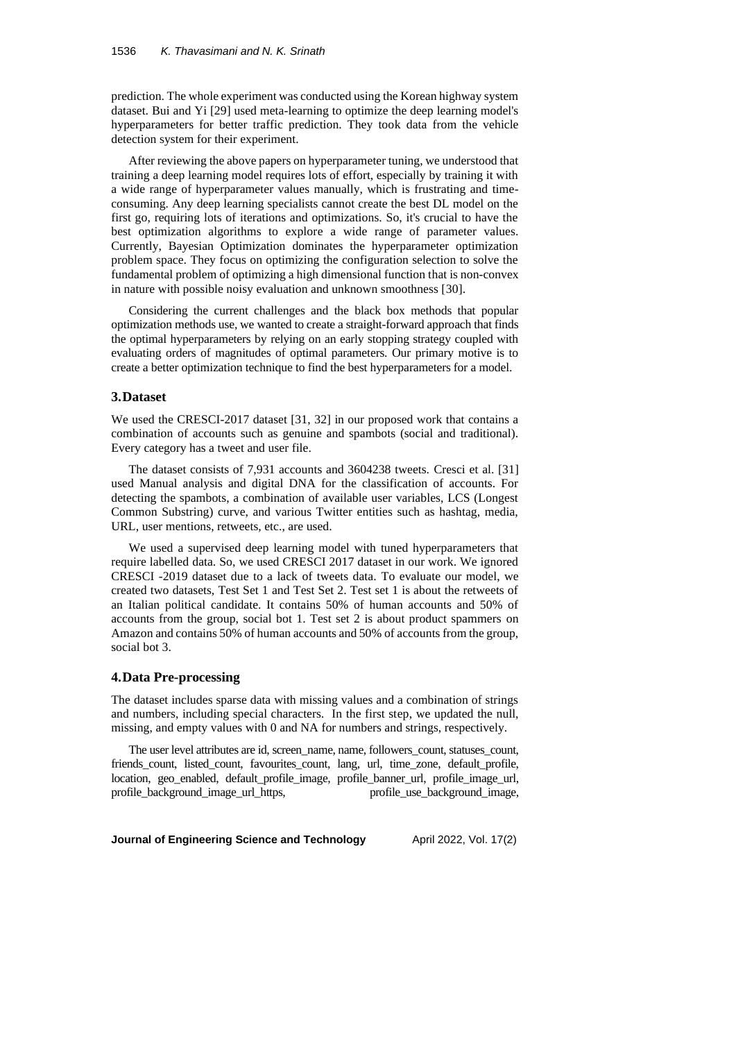prediction. The whole experiment was conducted using the Korean highway system dataset. Bui and Yi [29] used meta-learning to optimize the deep learning model's hyperparameters for better traffic prediction. They took data from the vehicle detection system for their experiment.

After reviewing the above papers on hyperparameter tuning, we understood that training a deep learning model requires lots of effort, especially by training it with a wide range of hyperparameter values manually, which is frustrating and timeconsuming. Any deep learning specialists cannot create the best DL model on the first go, requiring lots of iterations and optimizations. So, it's crucial to have the best optimization algorithms to explore a wide range of parameter values. Currently, Bayesian Optimization dominates the hyperparameter optimization problem space. They focus on optimizing the configuration selection to solve the fundamental problem of optimizing a high dimensional function that is non-convex in nature with possible noisy evaluation and unknown smoothness [30].

Considering the current challenges and the black box methods that popular optimization methods use, we wanted to create a straight-forward approach that finds the optimal hyperparameters by relying on an early stopping strategy coupled with evaluating orders of magnitudes of optimal parameters. Our primary motive is to create a better optimization technique to find the best hyperparameters for a model.

#### **3.Dataset**

We used the CRESCI-2017 dataset [31, 32] in our proposed work that contains a combination of accounts such as genuine and spambots (social and traditional). Every category has a tweet and user file.

The dataset consists of 7,931 accounts and 3604238 tweets. Cresci et al. [31] used Manual analysis and digital DNA for the classification of accounts. For detecting the spambots, a combination of available user variables, LCS (Longest Common Substring) curve, and various Twitter entities such as hashtag, media, URL, user mentions, retweets, etc., are used.

We used a supervised deep learning model with tuned hyperparameters that require labelled data. So, we used CRESCI 2017 dataset in our work. We ignored CRESCI -2019 dataset due to a lack of tweets data. To evaluate our model, we created two datasets, Test Set 1 and Test Set 2. Test set 1 is about the retweets of an Italian political candidate. It contains 50% of human accounts and 50% of accounts from the group, social bot 1. Test set 2 is about product spammers on Amazon and contains 50% of human accounts and 50% of accounts from the group, social bot 3.

### **4.Data Pre-processing**

The dataset includes sparse data with missing values and a combination of strings and numbers, including special characters. In the first step, we updated the null, missing, and empty values with 0 and NA for numbers and strings, respectively.

The user level attributes are id, screen\_name, name, followers\_count, statuses\_count, friends\_count, listed\_count, favourites\_count, lang, url, time\_zone, default\_profile, location, geo\_enabled, default\_profile\_image, profile\_banner\_url, profile\_image\_url, profile\_background\_image\_url\_https, profile\_use\_background\_image,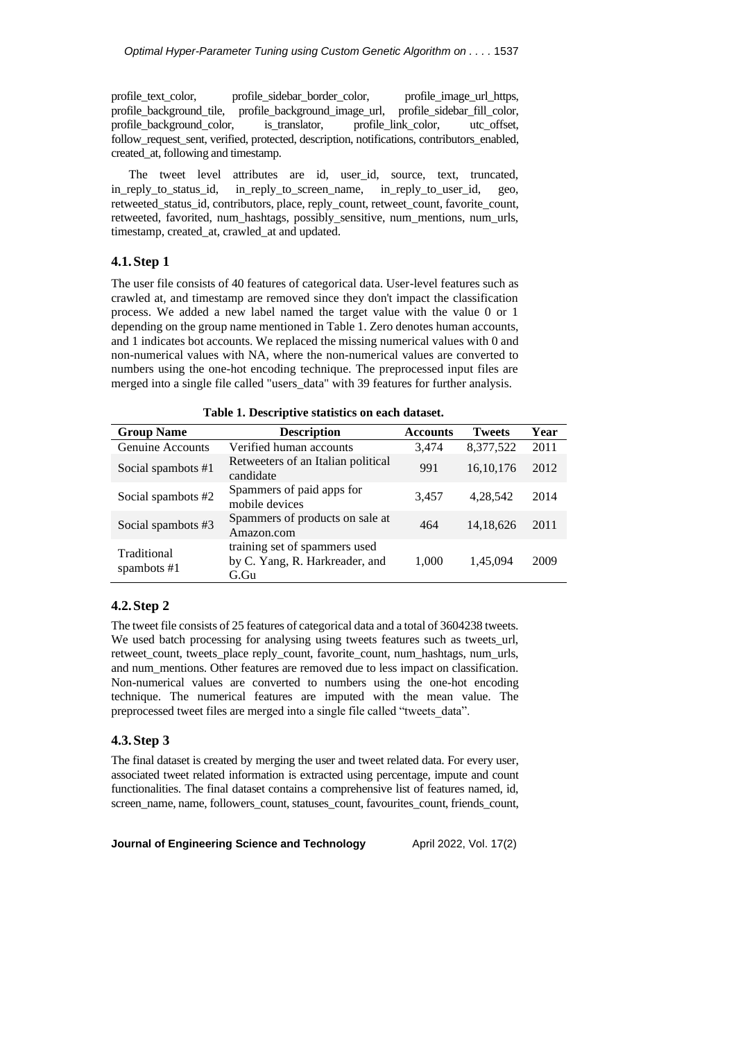profile\_text\_color, profile\_sidebar\_border\_color, profile\_image\_url\_https, profile\_background\_tile, profile\_background\_image\_url, profile\_sidebar\_fill\_color, profile\_background\_color, is\_translator, profile\_link\_color, utc\_offset, follow request sent, verified, protected, description, notifications, contributors enabled, created\_at, following and timestamp.

The tweet level attributes are id, user\_id, source, text, truncated, in\_reply\_to\_status\_id, in\_reply\_to\_screen\_name, in\_reply\_to\_user\_id, geo, retweeted\_status\_id, contributors, place, reply\_count, retweet\_count, favorite\_count, retweeted, favorited, num\_hashtags, possibly\_sensitive, num\_mentions, num\_urls, timestamp, created\_at, crawled\_at and updated.

## **4.1.Step 1**

The user file consists of 40 features of categorical data. User-level features such as crawled at, and timestamp are removed since they don't impact the classification process. We added a new label named the target value with the value 0 or 1 depending on the group name mentioned in Table 1. Zero denotes human accounts, and 1 indicates bot accounts. We replaced the missing numerical values with 0 and non-numerical values with NA, where the non-numerical values are converted to numbers using the one-hot encoding technique. The preprocessed input files are merged into a single file called "users\_data" with 39 features for further analysis.

**Table 1. Descriptive statistics on each dataset.**

| <b>Group Name</b>            | <b>Description</b>                                                      | <b>Accounts</b> | <b>Tweets</b> | Year |
|------------------------------|-------------------------------------------------------------------------|-----------------|---------------|------|
| Genuine Accounts             | Verified human accounts                                                 | 3.474           | 8,377,522     | 2011 |
| Social spambots #1           | Retweeters of an Italian political<br>candidate                         | 991             | 16, 10, 176   | 2012 |
| Social spambots #2           | Spammers of paid apps for<br>mobile devices                             | 3.457           | 4,28,542      | 2014 |
| Social spambots #3           | Spammers of products on sale at<br>Amazon.com                           | 464             | 14, 18, 626   | 2011 |
| Traditional<br>spambots $#1$ | training set of spammers used<br>by C. Yang, R. Harkreader, and<br>G.Gu | 1,000           | 1,45,094      | 2009 |

## **4.2.Step 2**

The tweet file consists of 25 features of categorical data and a total of 3604238 tweets. We used batch processing for analysing using tweets features such as tweets\_url, retweet\_count, tweets\_place reply\_count, favorite\_count, num\_hashtags, num\_urls, and num\_mentions. Other features are removed due to less impact on classification. Non-numerical values are converted to numbers using the one-hot encoding technique. The numerical features are imputed with the mean value. The preprocessed tweet files are merged into a single file called "tweets\_data".

#### **4.3.Step 3**

The final dataset is created by merging the user and tweet related data. For every user, associated tweet related information is extracted using percentage, impute and count functionalities. The final dataset contains a comprehensive list of features named, id, screen\_name, name, followers\_count, statuses\_count, favourites\_count, friends\_count,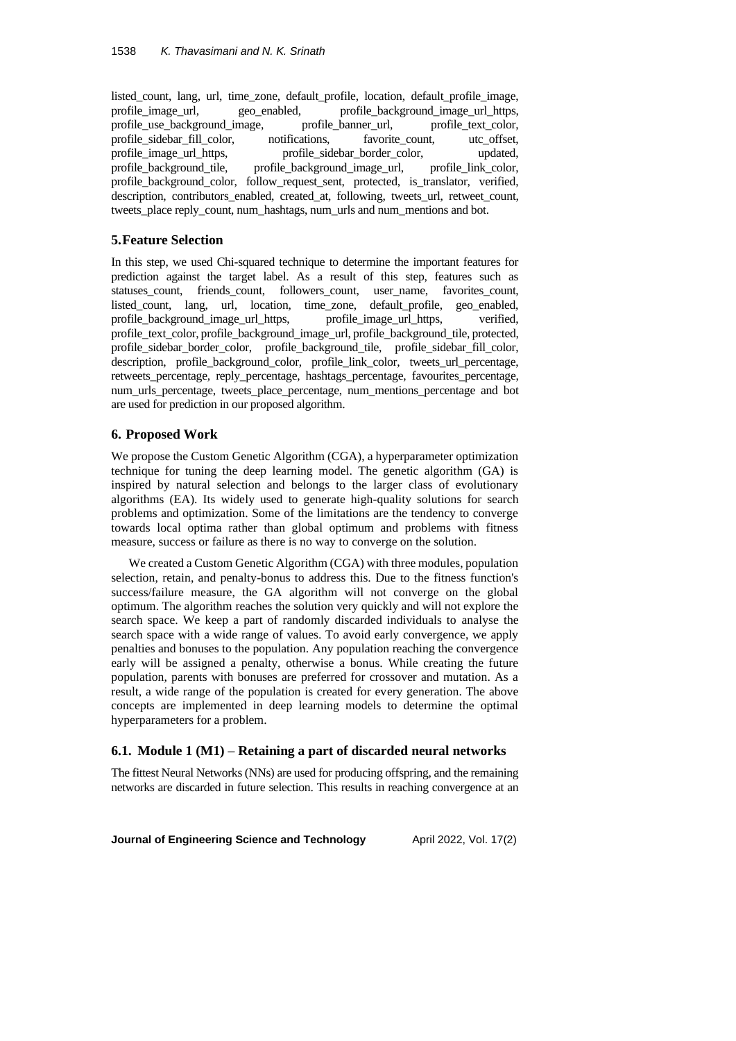listed\_count, lang, url, time\_zone, default\_profile, location, default\_profile\_image, profile image url, geo enabled, profile background image url https, profile use background image, profile banner url, profile text color, profile\_sidebar\_fill\_color, notifications, favorite\_count, utc\_offset, profile\_image\_url\_https, profile\_sidebar\_border\_color, updated, profile\_background\_tile, profile\_background\_image\_url, profile\_link\_color, profile\_background\_image\_url, profile\_link\_color, profile\_background\_color, follow\_request\_sent, protected, is\_translator, verified, description, contributors\_enabled, created\_at, following, tweets\_url, retweet\_count, tweets\_place reply\_count, num\_hashtags, num\_urls and num\_mentions and bot.

## **5.Feature Selection**

In this step, we used Chi-squared technique to determine the important features for prediction against the target label. As a result of this step, features such as statuses\_count, friends\_count, followers\_count, user\_name, favorites\_count, listed\_count, lang, url, location, time\_zone, default\_profile, geo\_enabled, profile\_background\_image\_url\_https, profile\_image\_url\_https, verified, profile\_text\_color, profile\_background\_image\_url, profile\_background\_tile, protected, profile\_sidebar\_border\_color, profile\_background\_tile, profile\_sidebar\_fill\_color, description, profile\_background\_color, profile\_link\_color, tweets\_url\_percentage, retweets\_percentage, reply\_percentage, hashtags\_percentage, favourites\_percentage, num\_urls\_percentage, tweets\_place\_percentage, num\_mentions\_percentage and bot are used for prediction in our proposed algorithm.

### **6. Proposed Work**

We propose the Custom Genetic Algorithm (CGA), a hyperparameter optimization technique for tuning the deep learning model. The genetic algorithm (GA) is inspired by natural selection and belongs to the larger class of evolutionary algorithms (EA). Its widely used to generate high-quality solutions for search problems and optimization. Some of the limitations are the tendency to converge towards local optima rather than global optimum and problems with fitness measure, success or failure as there is no way to converge on the solution.

We created a Custom Genetic Algorithm (CGA) with three modules, population selection, retain, and penalty-bonus to address this. Due to the fitness function's success/failure measure, the GA algorithm will not converge on the global optimum. The algorithm reaches the solution very quickly and will not explore the search space. We keep a part of randomly discarded individuals to analyse the search space with a wide range of values. To avoid early convergence, we apply penalties and bonuses to the population. Any population reaching the convergence early will be assigned a penalty, otherwise a bonus. While creating the future population, parents with bonuses are preferred for crossover and mutation. As a result, a wide range of the population is created for every generation. The above concepts are implemented in deep learning models to determine the optimal hyperparameters for a problem.

#### **6.1. Module 1 (M1) – Retaining a part of discarded neural networks**

The fittest Neural Networks (NNs) are used for producing offspring, and the remaining networks are discarded in future selection. This results in reaching convergence at an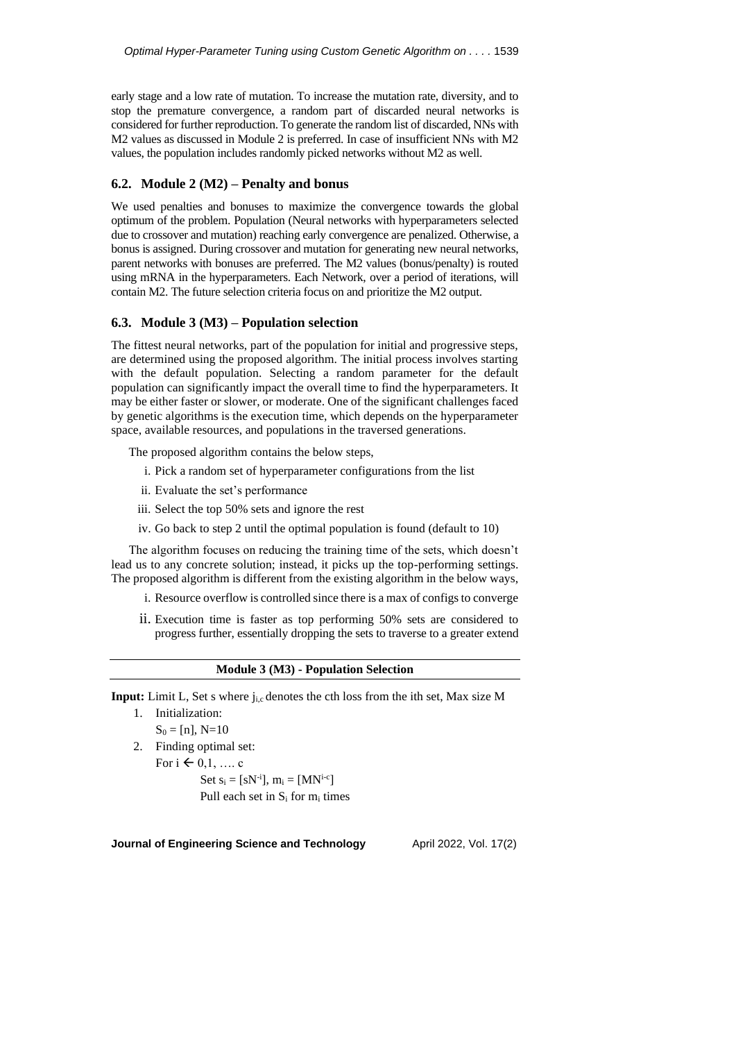early stage and a low rate of mutation. To increase the mutation rate, diversity, and to stop the premature convergence, a random part of discarded neural networks is considered for further reproduction. To generate the random list of discarded, NNs with M2 values as discussed in Module 2 is preferred. In case of insufficient NNs with M2 values, the population includes randomly picked networks without M2 as well.

## **6.2. Module 2 (M2) – Penalty and bonus**

We used penalties and bonuses to maximize the convergence towards the global optimum of the problem. Population (Neural networks with hyperparameters selected due to crossover and mutation) reaching early convergence are penalized. Otherwise, a bonus is assigned. During crossover and mutation for generating new neural networks, parent networks with bonuses are preferred. The M2 values (bonus/penalty) is routed using mRNA in the hyperparameters. Each Network, over a period of iterations, will contain M2. The future selection criteria focus on and prioritize the M2 output.

#### **6.3. Module 3 (M3) – Population selection**

The fittest neural networks, part of the population for initial and progressive steps, are determined using the proposed algorithm. The initial process involves starting with the default population. Selecting a random parameter for the default population can significantly impact the overall time to find the hyperparameters. It may be either faster or slower, or moderate. One of the significant challenges faced by genetic algorithms is the execution time, which depends on the hyperparameter space, available resources, and populations in the traversed generations.

The proposed algorithm contains the below steps,

- i. Pick a random set of hyperparameter configurations from the list
- ii. Evaluate the set's performance
- iii. Select the top 50% sets and ignore the rest
- iv. Go back to step 2 until the optimal population is found (default to 10)

The algorithm focuses on reducing the training time of the sets, which doesn't lead us to any concrete solution; instead, it picks up the top-performing settings. The proposed algorithm is different from the existing algorithm in the below ways,

- i. Resource overflow is controlled since there is a max of configs to converge
- ii. Execution time is faster as top performing 50% sets are considered to progress further, essentially dropping the sets to traverse to a greater extend

#### **Module 3 (M3) - Population Selection**

**Input:** Limit L, Set s where j<sub>i,c</sub> denotes the cth loss from the ith set, Max size M

1. Initialization:

- $S_0 = [n]$ , N=10
- 2. Finding optimal set:

For  $i \in {0,1, \ldots, c}$ 

Set  $s_i = [sN^{-i}]$ ,  $m_i = [MN^{i-c}]$ Pull each set in  $S_i$  for  $m_i$  times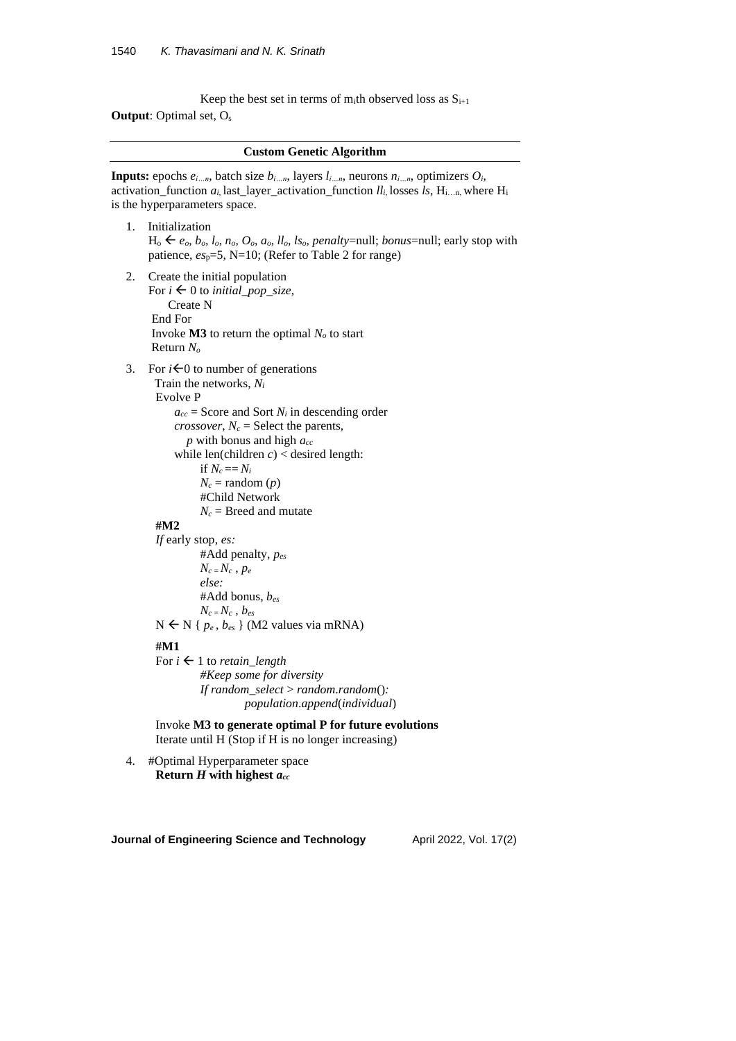Keep the best set in terms of m<sub>i</sub>th observed loss as  $S_{i+1}$ **Output**: Optimal set, O<sup>s</sup>

|  |  | <b>Custom Genetic Algorithm</b> |
|--|--|---------------------------------|
|--|--|---------------------------------|

**Inputs:** epochs  $e_i$  <sub>n</sub>, batch size  $b_i$  <sub>n</sub>, layers  $l_i$  <sub>n</sub>, neurons  $n_i$  <sub>n</sub>, optimizers  $O_i$ , activation\_function  $a_i$  last\_layer\_activation\_function  $ll_i$ , losses  $ls$ , H<sub>i…n</sub>, where H<sub>i</sub> is the hyperparameters space.

- 1. Initialization  $H_0 \leftarrow e_o, b_o, l_o, n_o, O_o, a_o, ll_o, ls_o$ , *penalty*=null; *bonus*=null; early stop with patience, *es*p=5, N=10; (Refer to Table 2 for range)
- 2. Create the initial population For  $i \leftarrow 0$  to *initial\_pop\_size*, Create N End For Invoke  $\overline{M}3$  to return the optimal  $N<sub>o</sub>$  to start Return *N<sup>o</sup>*
- 3. For  $i \in 0$  to number of generations Train the networks, *N<sup>i</sup>*

Evolve P

 $a_{cc}$  = Score and Sort  $N_i$  in descending order *crossover*,  $N_c$  = Select the parents, *p* with bonus and high *acc* while len(children  $c$ ) < desired length: if  $N_c == N_i$  $N_c$  = random  $(p)$ #Child Network

 $N_c$  = Breed and mutate

# **#M2**

*If* early stop, *es:* #Add penalty, *pes*  $N_c = N_c$ ,  $p_e$ *else:* #Add bonus, *bes*  $N_c$ <sub>*z*</sub>  $N_c$ <sup>*, b<sub>es</sub>*</sup>

#### $N \leftarrow N \{p_e, b_{es}\}$  (M2 values via mRNA)

#### **#M1**

For  $i \leftarrow 1$  to *retain\_length #Keep some for diversity If random\_select* > *random*.*random*()*: population*.*append*(*individual*)

Invoke **M3 to generate optimal P for future evolutions** Iterate until H (Stop if H is no longer increasing)

4. #Optimal Hyperparameter space **Return** *H* **with highest** *acc*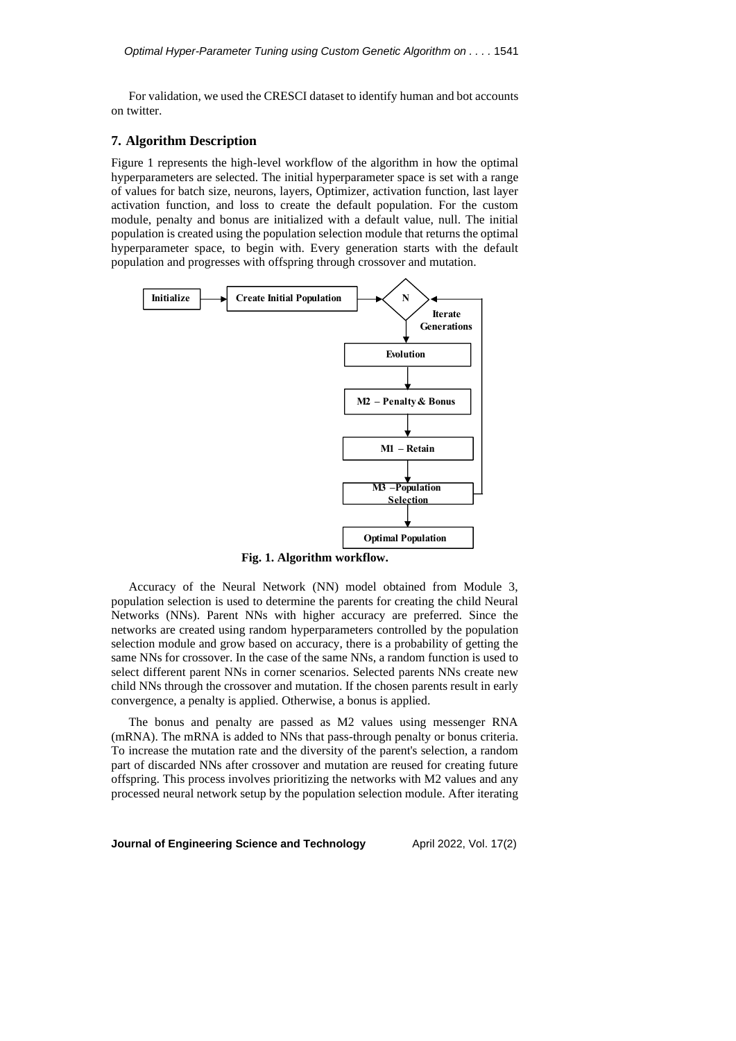For validation, we used the CRESCI dataset to identify human and bot accounts on twitter.

### **7. Algorithm Description**

Figure 1 represents the high-level workflow of the algorithm in how the optimal hyperparameters are selected. The initial hyperparameter space is set with a range of values for batch size, neurons, layers, Optimizer, activation function, last layer activation function, and loss to create the default population. For the custom module, penalty and bonus are initialized with a default value, null. The initial population is created using the population selection module that returns the optimal hyperparameter space, to begin with. Every generation starts with the default population and progresses with offspring through crossover and mutation.



**Fig. 1. Algorithm workflow.**

Accuracy of the Neural Network (NN) model obtained from Module 3, population selection is used to determine the parents for creating the child Neural Networks (NNs). Parent NNs with higher accuracy are preferred. Since the networks are created using random hyperparameters controlled by the population selection module and grow based on accuracy, there is a probability of getting the same NNs for crossover. In the case of the same NNs, a random function is used to select different parent NNs in corner scenarios. Selected parents NNs create new child NNs through the crossover and mutation. If the chosen parents result in early convergence, a penalty is applied. Otherwise, a bonus is applied.

The bonus and penalty are passed as M2 values using messenger RNA (mRNA). The mRNA is added to NNs that pass-through penalty or bonus criteria. To increase the mutation rate and the diversity of the parent's selection, a random part of discarded NNs after crossover and mutation are reused for creating future offspring. This process involves prioritizing the networks with M2 values and any processed neural network setup by the population selection module. After iterating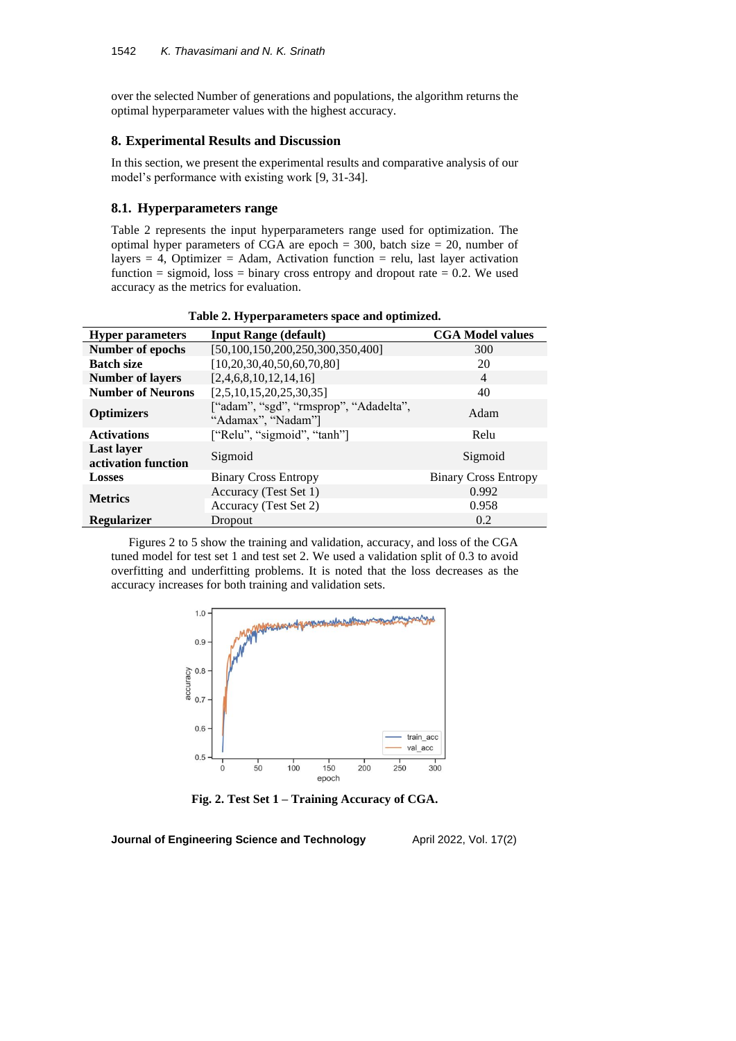over the selected Number of generations and populations, the algorithm returns the optimal hyperparameter values with the highest accuracy.

### **8. Experimental Results and Discussion**

In this section, we present the experimental results and comparative analysis of our model's performance with existing work [9, 31-34].

## **8.1. Hyperparameters range**

Table 2 represents the input hyperparameters range used for optimization. The optimal hyper parameters of CGA are epoch  $= 300$ , batch size  $= 20$ , number of layers  $= 4$ , Optimizer  $=$  Adam, Activation function  $=$  relu, last layer activation function  $=$  sigmoid, loss  $=$  binary cross entropy and dropout rate  $= 0.2$ . We used accuracy as the metrics for evaluation.

| <b>Hyper parameters</b>                  | <b>Input Range (default)</b>                                 | <b>CGA Model values</b>     |  |
|------------------------------------------|--------------------------------------------------------------|-----------------------------|--|
| Number of epochs                         | [50,100,150,200,250,300,350,400]                             | 300                         |  |
| <b>Batch size</b>                        | [10.20.30.40.50.60.70.80]                                    | 20                          |  |
| <b>Number of layers</b>                  | [2,4,6,8,10,12,14,16]                                        | $\overline{4}$              |  |
| <b>Number of Neurons</b>                 | [2,5,10,15,20,25,30,35]                                      | 40                          |  |
| <b>Optimizers</b>                        | ["adam", "sgd", "rmsprop", "Adadelta",<br>"Adamax", "Nadam"] | Adam                        |  |
| <b>Activations</b>                       | ["Relu", "sigmoid", "tanh"]                                  | Relu                        |  |
| <b>Last layer</b><br>activation function | Sigmoid                                                      | Sigmoid                     |  |
| <b>Losses</b>                            | <b>Binary Cross Entropy</b>                                  | <b>Binary Cross Entropy</b> |  |
| <b>Metrics</b>                           | Accuracy (Test Set 1)                                        | 0.992                       |  |
|                                          | Accuracy (Test Set 2)                                        | 0.958                       |  |
| <b>Regularizer</b>                       | Dropout                                                      | 0.2                         |  |

**Table 2. Hyperparameters space and optimized.**

Figures 2 to 5 show the training and validation, accuracy, and loss of the CGA tuned model for test set 1 and test set 2. We used a validation split of 0.3 to avoid overfitting and underfitting problems. It is noted that the loss decreases as the accuracy increases for both training and validation sets.



**Fig. 2. Test Set 1 – Training Accuracy of CGA.**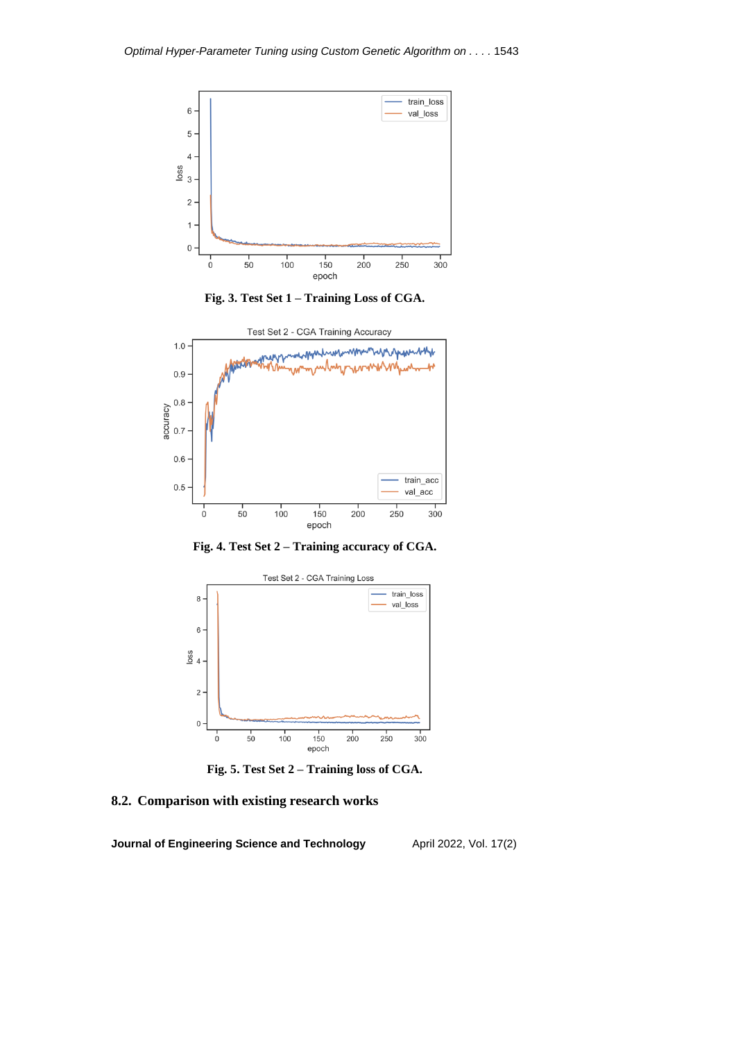

**Fig. 3. Test Set 1 – Training Loss of CGA.**



**Fig. 4. Test Set 2 – Training accuracy of CGA.**



**Fig. 5. Test Set 2 – Training loss of CGA.**

## **8.2. Comparison with existing research works**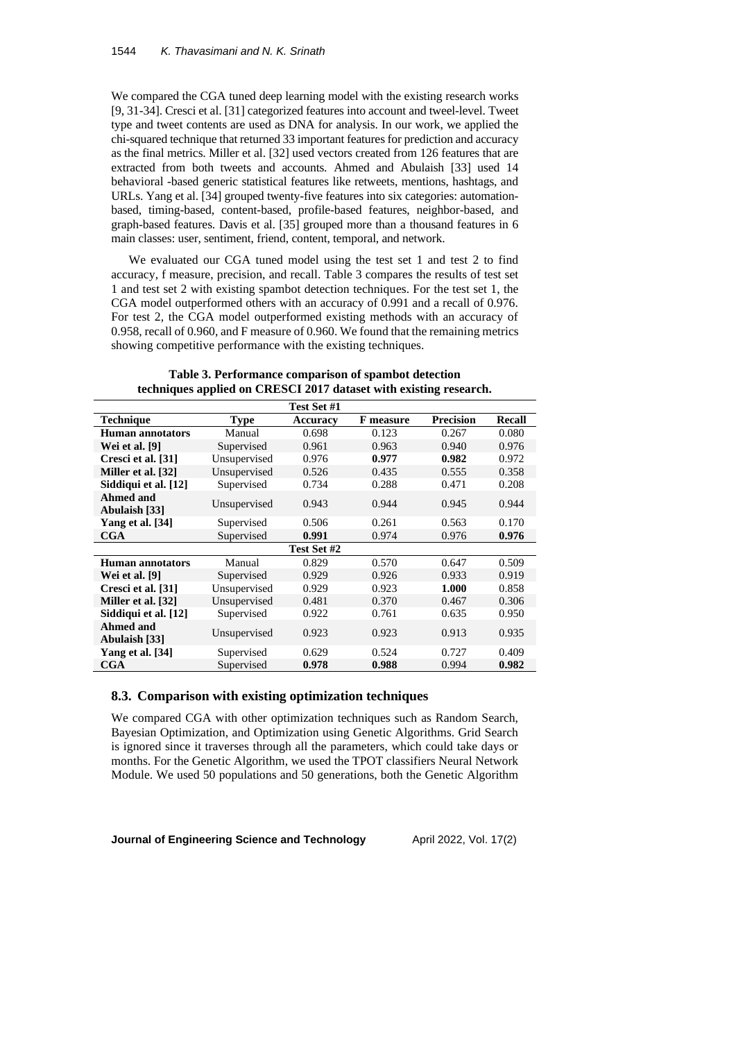We compared the CGA tuned deep learning model with the existing research works [9, 31-34]. Cresci et al. [31] categorized features into account and tweel-level. Tweet type and tweet contents are used as DNA for analysis. In our work, we applied the chi-squared technique that returned 33 important features for prediction and accuracy as the final metrics. Miller et al. [32] used vectors created from 126 features that are extracted from both tweets and accounts. Ahmed and Abulaish [33] used 14 behavioral -based generic statistical features like retweets, mentions, hashtags, and URLs. Yang et al. [34] grouped twenty-five features into six categories: automationbased, timing-based, content-based, profile-based features, neighbor-based, and graph-based features. Davis et al. [35] grouped more than a thousand features in 6 main classes: user, sentiment, friend, content, temporal, and network.

We evaluated our CGA tuned model using the test set 1 and test 2 to find accuracy, f measure, precision, and recall. Table 3 compares the results of test set 1 and test set 2 with existing spambot detection techniques. For the test set 1, the CGA model outperformed others with an accuracy of 0.991 and a recall of 0.976. For test 2, the CGA model outperformed existing methods with an accuracy of 0.958, recall of 0.960, and F measure of 0.960. We found that the remaining metrics showing competitive performance with the existing techniques.

|                                   |              | Test Set #1 |           |                  |        |
|-----------------------------------|--------------|-------------|-----------|------------------|--------|
| <b>Technique</b>                  | Type         | Accuracy    | F measure | <b>Precision</b> | Recall |
| Human annotators                  | Manual       | 0.698       | 0.123     | 0.267            | 0.080  |
| Wei et al. [9]                    | Supervised   | 0.961       | 0.963     | 0.940            | 0.976  |
| Cresci et al. [31]                | Unsupervised | 0.976       | 0.977     | 0.982            | 0.972  |
| Miller et al. [32]                | Unsupervised | 0.526       | 0.435     | 0.555            | 0.358  |
| Siddiqui et al. [12]              | Supervised   | 0.734       | 0.288     | 0.471            | 0.208  |
| <b>Ahmed and</b><br>Abulaish [33] | Unsupervised | 0.943       | 0.944     | 0.945            | 0.944  |
| Yang et al. [34]                  | Supervised   | 0.506       | 0.261     | 0.563            | 0.170  |
| $_{\rm CGA}$                      | Supervised   | 0.991       | 0.974     | 0.976            | 0.976  |
|                                   |              | Test Set #2 |           |                  |        |
| Human annotators                  | Manual       | 0.829       | 0.570     | 0.647            | 0.509  |
| Wei et al. [9]                    | Supervised   | 0.929       | 0.926     | 0.933            | 0.919  |
| Cresci et al. [31]                | Unsupervised | 0.929       | 0.923     | 1.000            | 0.858  |
| Miller et al. [32]                | Unsupervised | 0.481       | 0.370     | 0.467            | 0.306  |
| Siddiqui et al. [12]              | Supervised   | 0.922       | 0.761     | 0.635            | 0.950  |
| <b>Ahmed and</b><br>Abulaish [33] | Unsupervised | 0.923       | 0.923     | 0.913            | 0.935  |
| Yang et al. [34]                  | Supervised   | 0.629       | 0.524     | 0.727            | 0.409  |
| $_{\rm CGA}$                      | Supervised   | 0.978       | 0.988     | 0.994            | 0.982  |

**Table 3. Performance comparison of spambot detection techniques applied on CRESCI 2017 dataset with existing research.**

### **8.3. Comparison with existing optimization techniques**

We compared CGA with other optimization techniques such as Random Search, Bayesian Optimization, and Optimization using Genetic Algorithms. Grid Search is ignored since it traverses through all the parameters, which could take days or months. For the Genetic Algorithm, we used the TPOT classifiers Neural Network Module. We used 50 populations and 50 generations, both the Genetic Algorithm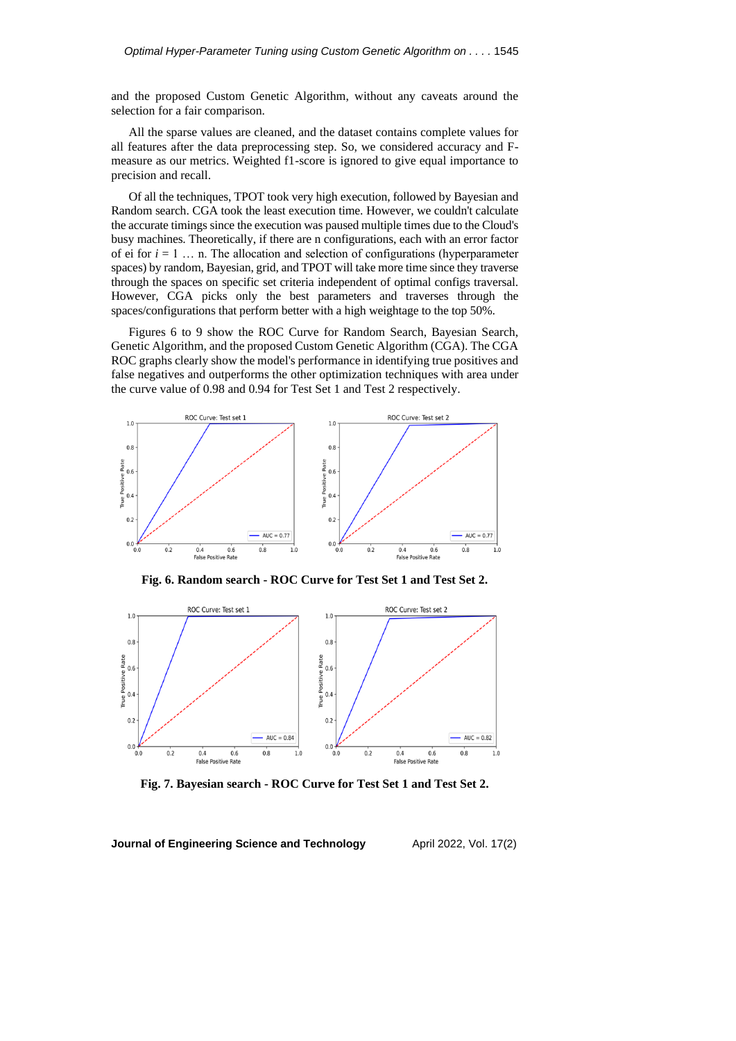and the proposed Custom Genetic Algorithm, without any caveats around the selection for a fair comparison.

All the sparse values are cleaned, and the dataset contains complete values for all features after the data preprocessing step. So, we considered accuracy and Fmeasure as our metrics. Weighted f1-score is ignored to give equal importance to precision and recall.

Of all the techniques, TPOT took very high execution, followed by Bayesian and Random search. CGA took the least execution time. However, we couldn't calculate the accurate timings since the execution was paused multiple times due to the Cloud's busy machines. Theoretically, if there are n configurations, each with an error factor of ei for  $i = 1, \ldots, n$ . The allocation and selection of configurations (hyperparameter spaces) by random, Bayesian, grid, and TPOT will take more time since they traverse through the spaces on specific set criteria independent of optimal configs traversal. However, CGA picks only the best parameters and traverses through the spaces/configurations that perform better with a high weightage to the top 50%.

Figures 6 to 9 show the ROC Curve for Random Search, Bayesian Search, Genetic Algorithm, and the proposed Custom Genetic Algorithm (CGA). The CGA ROC graphs clearly show the model's performance in identifying true positives and false negatives and outperforms the other optimization techniques with area under the curve value of 0.98 and 0.94 for Test Set 1 and Test 2 respectively.



**Fig. 6. Random search - ROC Curve for Test Set 1 and Test Set 2.**



**Fig. 7. Bayesian search - ROC Curve for Test Set 1 and Test Set 2.**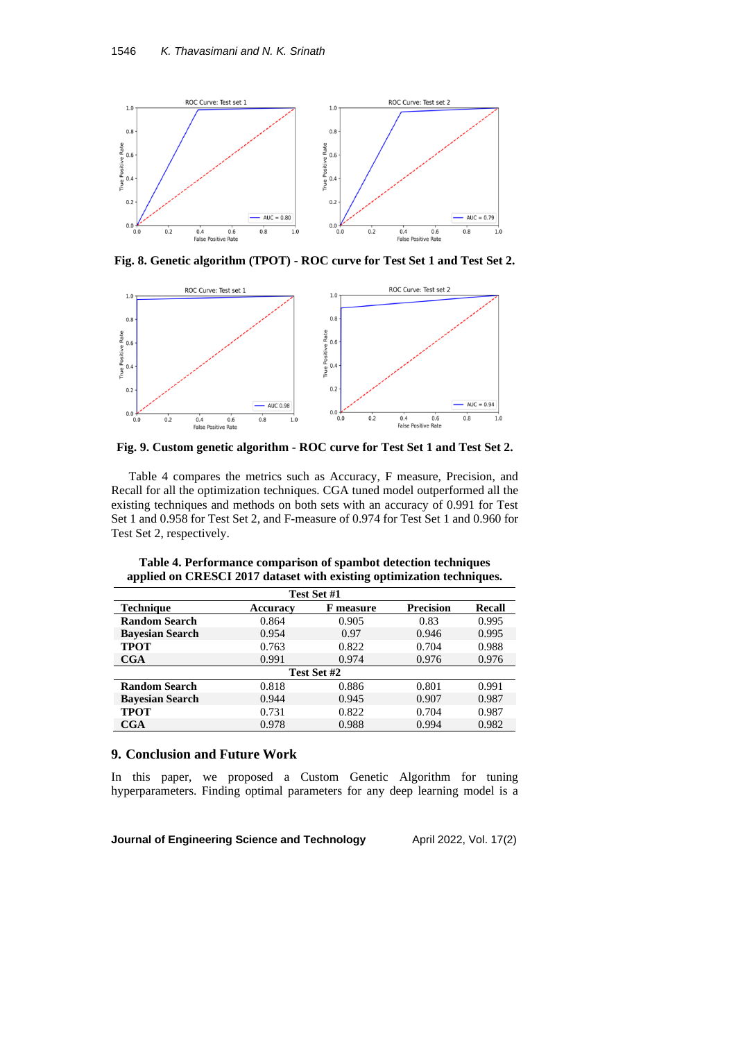

**Fig. 8. Genetic algorithm (TPOT) - ROC curve for Test Set 1 and Test Set 2.**



**Fig. 9. Custom genetic algorithm - ROC curve for Test Set 1 and Test Set 2.**

Table 4 compares the metrics such as Accuracy, F measure, Precision, and Recall for all the optimization techniques. CGA tuned model outperformed all the existing techniques and methods on both sets with an accuracy of 0.991 for Test Set 1 and 0.958 for Test Set 2, and F-measure of 0.974 for Test Set 1 and 0.960 for Test Set 2, respectively.

| Test Set #1            |                 |                  |                  |               |
|------------------------|-----------------|------------------|------------------|---------------|
| <b>Technique</b>       | <b>Accuracy</b> | <b>F</b> measure | <b>Precision</b> | <b>Recall</b> |
| <b>Random Search</b>   | 0.864           | 0.905            | 0.83             | 0.995         |
| <b>Bavesian Search</b> | 0.954           | 0.97             | 0.946            | 0.995         |
| <b>TPOT</b>            | 0.763           | 0.822            | 0.704            | 0.988         |
| CGA                    | 0.991           | 0.974            | 0.976            | 0.976         |
| Test Set #2            |                 |                  |                  |               |
| <b>Random Search</b>   | 0.818           | 0.886            | 0.801            | 0.991         |
| <b>Bayesian Search</b> | 0.944           | 0.945            | 0.907            | 0.987         |
| <b>TPOT</b>            | 0.731           | 0.822            | 0.704            | 0.987         |
| CGA                    | 0.978           | 0.988            | 0.994            | 0.982         |

**Table 4. Performance comparison of spambot detection techniques applied on CRESCI 2017 dataset with existing optimization techniques.**

## **9. Conclusion and Future Work**

In this paper, we proposed a Custom Genetic Algorithm for tuning hyperparameters. Finding optimal parameters for any deep learning model is a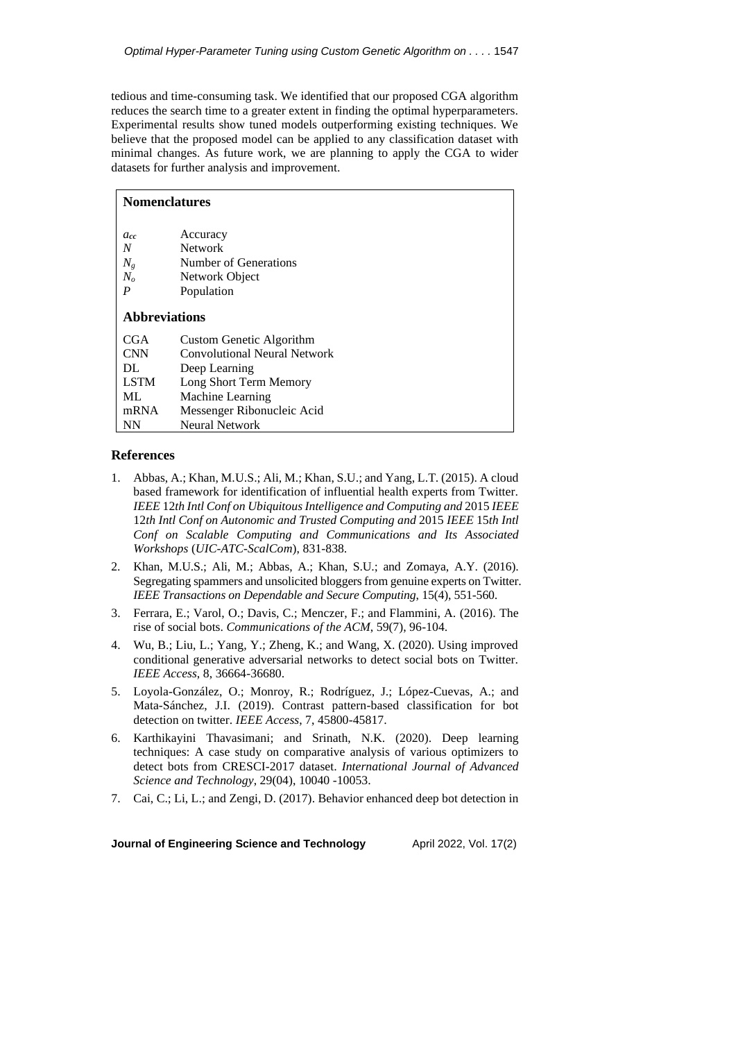tedious and time-consuming task. We identified that our proposed CGA algorithm reduces the search time to a greater extent in finding the optimal hyperparameters. Experimental results show tuned models outperforming existing techniques. We believe that the proposed model can be applied to any classification dataset with minimal changes. As future work, we are planning to apply the CGA to wider datasets for further analysis and improvement.

| <b>Nomenclatures</b>                                   |                                                                       |  |
|--------------------------------------------------------|-----------------------------------------------------------------------|--|
| acc<br>$\boldsymbol{N}$<br>$N_g$<br>$N_o$              | Accuracy<br><b>Network</b><br>Number of Generations<br>Network Object |  |
| $\boldsymbol{P}$<br>Population<br><b>Abbreviations</b> |                                                                       |  |
| CGA                                                    | Custom Genetic Algorithm                                              |  |
| <b>CNN</b>                                             | Convolutional Neural Network                                          |  |
| DL                                                     | Deep Learning                                                         |  |
| <b>LSTM</b>                                            | Long Short Term Memory                                                |  |
| ML.                                                    | Machine Learning                                                      |  |
| mRNA                                                   | Messenger Ribonucleic Acid                                            |  |
| <b>NN</b>                                              | <b>Neural Network</b>                                                 |  |

## **References**

- 1. Abbas, A.; Khan, M.U.S.; Ali, M.; Khan, S.U.; and Yang, L.T. (2015). A cloud based framework for identification of influential health experts from Twitter. *IEEE* 12*th Intl Conf on UbiquitousIntelligence and Computing and* 2015 *IEEE* 12*th Intl Conf on Autonomic and Trusted Computing and* 2015 *IEEE* 15*th Intl Conf on Scalable Computing and Communications and Its Associated Workshops* (*UIC-ATC-ScalCom*), 831-838.
- 2. Khan, M.U.S.; Ali, M.; Abbas, A.; Khan, S.U.; and Zomaya, A.Y. (2016). Segregating spammers and unsolicited bloggers from genuine experts on Twitter. *IEEE Transactions on Dependable and Secure Computing*, 15(4), 551-560.
- 3. Ferrara, E.; Varol, O.; Davis, C.; Menczer, F.; and Flammini, A. (2016). The rise of social bots. *Communications of the ACM*, 59(7), 96-104.
- 4. Wu, B.; Liu, L.; Yang, Y.; Zheng, K.; and Wang, X. (2020). Using improved conditional generative adversarial networks to detect social bots on Twitter. *IEEE Access*, 8, 36664-36680.
- 5. Loyola-González, O.; Monroy, R.; Rodríguez, J.; López-Cuevas, A.; and Mata-Sánchez, J.I. (2019). Contrast pattern-based classification for bot detection on twitter. *IEEE Access*, 7, 45800-45817.
- 6. Karthikayini Thavasimani; and Srinath, N.K. (2020). Deep learning techniques: A case study on comparative analysis of various optimizers to detect bots from CRESCI-2017 dataset. *International Journal of Advanced Science and Technology*, 29(04), 10040 -10053.
- 7. Cai, C.; Li, L.; and Zengi, D. (2017). Behavior enhanced deep bot detection in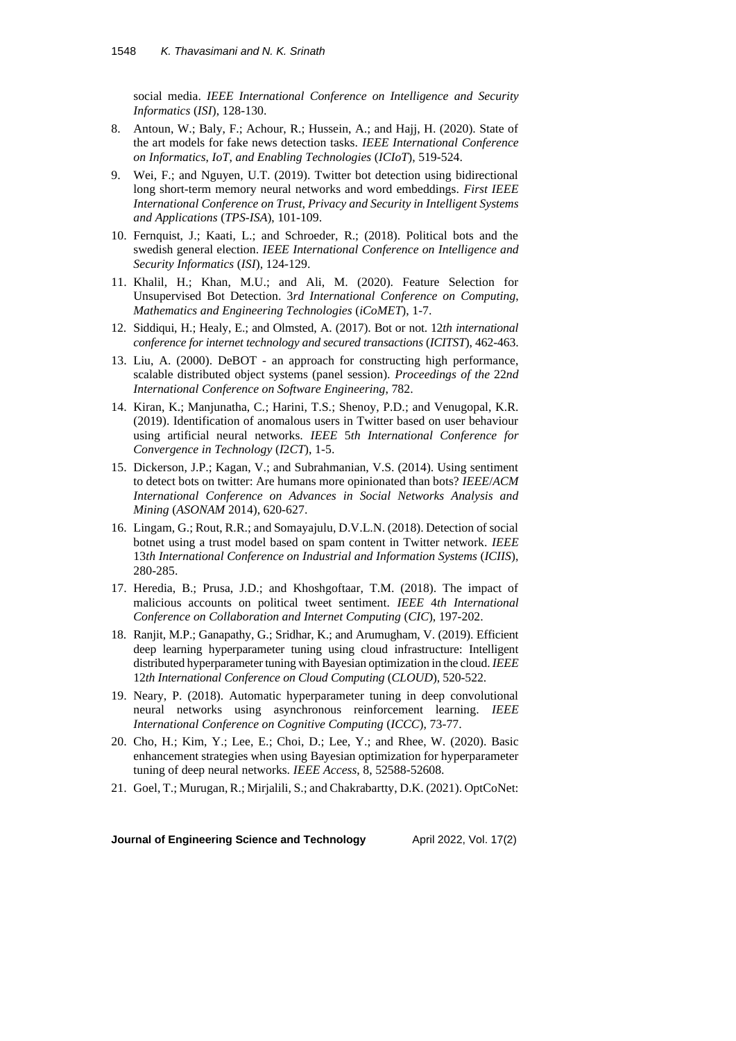social media. *IEEE International Conference on Intelligence and Security Informatics* (*ISI*), 128-130.

- 8. Antoun, W.; Baly, F.; Achour, R.; Hussein, A.; and Hajj, H. (2020). State of the art models for fake news detection tasks. *IEEE International Conference on Informatics*, *IoT*, *and Enabling Technologies* (*ICIoT*), 519-524.
- 9. Wei, F.; and Nguyen, U.T. (2019). Twitter bot detection using bidirectional long short-term memory neural networks and word embeddings. *First IEEE International Conference on Trust*, *Privacy and Security in Intelligent Systems and Applications* (*TPS-ISA*), 101-109.
- 10. Fernquist, J.; Kaati, L.; and Schroeder, R.; (2018). Political bots and the swedish general election. *IEEE International Conference on Intelligence and Security Informatics* (*ISI*), 124-129.
- 11. Khalil, H.; Khan, M.U.; and Ali, M. (2020). Feature Selection for Unsupervised Bot Detection. 3*rd International Conference on Computing*, *Mathematics and Engineering Technologies* (*iCoMET*), 1-7.
- 12. Siddiqui, H.; Healy, E.; and Olmsted, A. (2017). Bot or not. 12*th international conference for internet technology and secured transactions* (*ICITST*), 462-463.
- 13. Liu, A. (2000). DeBOT an approach for constructing high performance, scalable distributed object systems (panel session). *Proceedings of the* 22*nd International Conference on Software Engineering*, 782.
- 14. Kiran, K.; Manjunatha, C.; Harini, T.S.; Shenoy, P.D.; and Venugopal, K.R. (2019). Identification of anomalous users in Twitter based on user behaviour using artificial neural networks. *IEEE* 5*th International Conference for Convergence in Technology* (*I*2*CT*), 1-5.
- 15. Dickerson, J.P.; Kagan, V.; and Subrahmanian, V.S. (2014). Using sentiment to detect bots on twitter: Are humans more opinionated than bots? *IEEE*/*ACM International Conference on Advances in Social Networks Analysis and Mining* (*ASONAM* 2014), 620-627.
- 16. Lingam, G.; Rout, R.R.; and Somayajulu, D.V.L.N. (2018). Detection of social botnet using a trust model based on spam content in Twitter network. *IEEE* 13*th International Conference on Industrial and Information Systems* (*ICIIS*), 280-285.
- 17. Heredia, B.; Prusa, J.D.; and Khoshgoftaar, T.M. (2018). The impact of malicious accounts on political tweet sentiment. *IEEE* 4*th International Conference on Collaboration and Internet Computing* (*CIC*), 197-202.
- 18. Ranjit, M.P.; Ganapathy, G.; Sridhar, K.; and Arumugham, V. (2019). Efficient deep learning hyperparameter tuning using cloud infrastructure: Intelligent distributed hyperparameter tuning with Bayesian optimization in the cloud. *IEEE* 12*th International Conference on Cloud Computing* (*CLOUD*), 520-522.
- 19. Neary, P. (2018). Automatic hyperparameter tuning in deep convolutional neural networks using asynchronous reinforcement learning. *IEEE International Conference on Cognitive Computing* (*ICCC*), 73-77.
- 20. Cho, H.; Kim, Y.; Lee, E.; Choi, D.; Lee, Y.; and Rhee, W. (2020). Basic enhancement strategies when using Bayesian optimization for hyperparameter tuning of deep neural networks. *IEEE Access*, 8, 52588-52608.
- 21. Goel, T.; Murugan, R.; Mirjalili, S.; and Chakrabartty, D.K. (2021). OptCoNet: